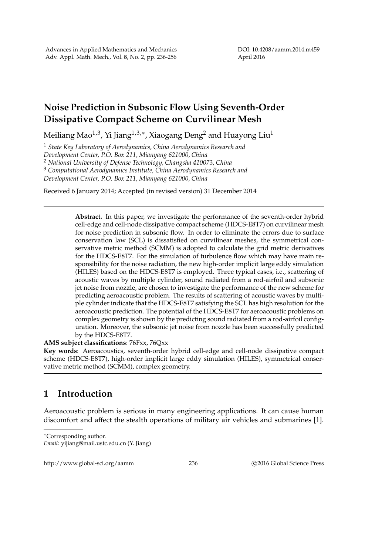## **Noise Prediction in Subsonic Flow Using Seventh-Order Dissipative Compact Scheme on Curvilinear Mesh**

Meiliang Mao $^{1,3}$ , Yi Jiang $^{1,3,*}$ , Xiaogang Deng $^2$  and Huayong Liu $^1$ 

<sup>1</sup> *State Key Laboratory of Aerodynamics, China Aerodynamics Research and Development Center, P.O. Box 211, Mianyang 621000, China* <sup>2</sup> *National University of Defense Technology, Changsha 410073, China* <sup>3</sup> *Computational Aerodynamics Institute, China Aerodynamics Research and Development Center, P.O. Box 211, Mianyang 621000, China*

Received 6 January 2014; Accepted (in revised version) 31 December 2014

**Abstract.** In this paper, we investigate the performance of the seventh-order hybrid cell-edge and cell-node dissipative compact scheme (HDCS-E8T7) on curvilinear mesh for noise prediction in subsonic flow. In order to eliminate the errors due to surface conservation law (SCL) is dissatisfied on curvilinear meshes, the symmetrical conservative metric method (SCMM) is adopted to calculate the grid metric derivatives for the HDCS-E8T7. For the simulation of turbulence flow which may have main responsibility for the noise radiation, the new high-order implicit large eddy simulation (HILES) based on the HDCS-E8T7 is employed. Three typical cases, i.e., scattering of acoustic waves by multiple cylinder, sound radiated from a rod-airfoil and subsonic jet noise from nozzle, are chosen to investigate the performance of the new scheme for predicting aeroacoustic problem. The results of scattering of acoustic waves by multiple cylinder indicate that the HDCS-E8T7 satisfying the SCL has high resolution for the aeroacoustic prediction. The potential of the HDCS-E8T7 for aeroacoustic problems on complex geometry is shown by the predicting sound radiated from a rod-airfoil configuration. Moreover, the subsonic jet noise from nozzle has been successfully predicted by the HDCS-E8T7.

## **AMS subject classifications**: 76Fxx, 76Qxx

**Key words**: Aeroacoustics, seventh-order hybrid cell-edge and cell-node dissipative compact scheme (HDCS-E8T7), high-order implicit large eddy simulation (HILES), symmetrical conservative metric method (SCMM), complex geometry.

## **1 Introduction**

Aeroacoustic problem is serious in many engineering applications. It can cause human discomfort and affect the stealth operations of military air vehicles and submarines [1].

http://www.global-sci.org/aamm 236 
2016 Global Science Press

<sup>∗</sup>Corresponding author.

*Email:* yijiang@mail.ustc.edu.cn (Y. Jiang)